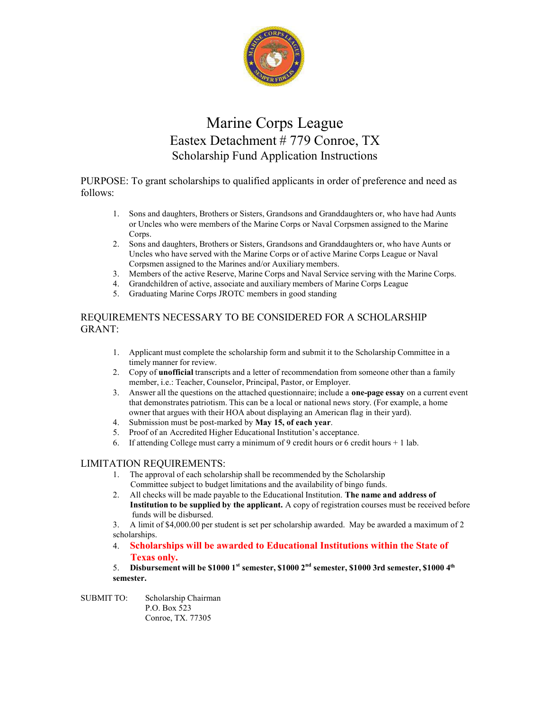

## Marine Corps League Eastex Detachment # 779 Conroe, TX Scholarship Fund Application Instructions

PURPOSE: To grant scholarships to qualified applicants in order of preference and need as follows:

- 1. Sons and daughters, Brothers or Sisters, Grandsons and Granddaughters or, who have had Aunts or Uncles who were members of the Marine Corps or Naval Corpsmen assigned to the Marine Corps.
- 2. Sons and daughters, Brothers or Sisters, Grandsons and Granddaughters or, who have Aunts or Uncles who have served with the Marine Corps or of active Marine Corps League or Naval Corpsmen assigned to the Marines and/or Auxiliary members.
- 3. Members of the active Reserve, Marine Corps and Naval Service serving with the Marine Corps.
- 4. Grandchildren of active, associate and auxiliary members of Marine Corps League
- 5. Graduating Marine Corps JROTC members in good standing

### REQUIREMENTS NECESSARY TO BE CONSIDERED FOR A SCHOLARSHIP GRANT:

- 1. Applicant must complete the scholarship form and submit it to the Scholarship Committee in a timely manner for review.
- 2. Copy of unofficial transcripts and a letter of recommendation from someone other than a family member, i.e.: Teacher, Counselor, Principal, Pastor, or Employer.
- 3. Answer all the questions on the attached questionnaire; include a **one-page essay** on a current event that demonstrates patriotism. This can be a local or national news story. (For example, a home owner that argues with their HOA about displaying an American flag in their yard).
- 4. Submission must be post-marked by May 15, of each year.
- 5. Proof of an Accredited Higher Educational Institution's acceptance.
- 6. If attending College must carry a minimum of 9 credit hours or 6 credit hours  $+1$  lab.

#### LIMITATION REQUIREMENTS:

- 1. The approval of each scholarship shall be recommended by the Scholarship Committee subject to budget limitations and the availability of bingo funds.
- 2. All checks will be made payable to the Educational Institution. The name and address of Institution to be supplied by the applicant. A copy of registration courses must be received before funds will be disbursed.

3. A limit of \$4,000.00 per student is set per scholarship awarded. May be awarded a maximum of 2 scholarships.

- 4. Scholarships will be awarded to Educational Institutions within the State of Texas only.
- 5. Disbursement will be \$1000 1<sup>st</sup> semester, \$1000  $2<sup>nd</sup>$  semester, \$1000 3rd semester, \$1000 4<sup>th</sup> semester.
- SUBMIT TO: Scholarship Chairman P.O. Box 523 Conroe, TX. 77305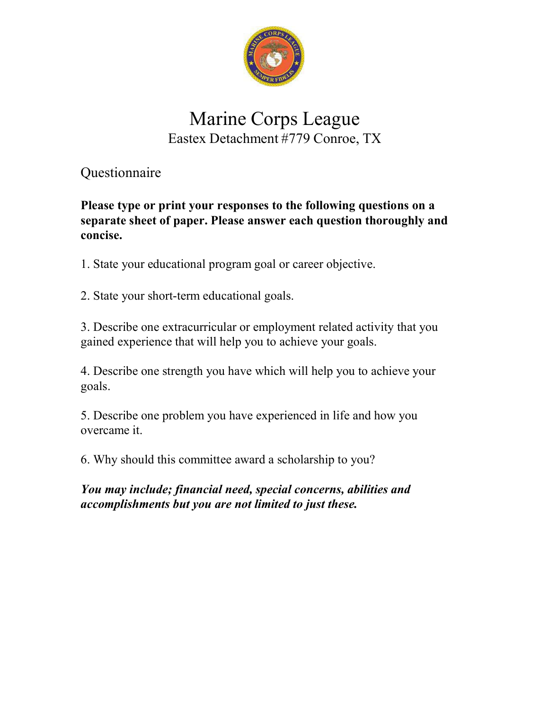

# Marine Corps League Eastex Detachment #779 Conroe, TX

Questionnaire

Please type or print your responses to the following questions on a separate sheet of paper. Please answer each question thoroughly and concise.

1. State your educational program goal or career objective.

2. State your short-term educational goals.

3. Describe one extracurricular or employment related activity that you gained experience that will help you to achieve your goals.

4. Describe one strength you have which will help you to achieve your goals.

5. Describe one problem you have experienced in life and how you overcame it.

6. Why should this committee award a scholarship to you?

You may include; financial need, special concerns, abilities and accomplishments but you are not limited to just these.